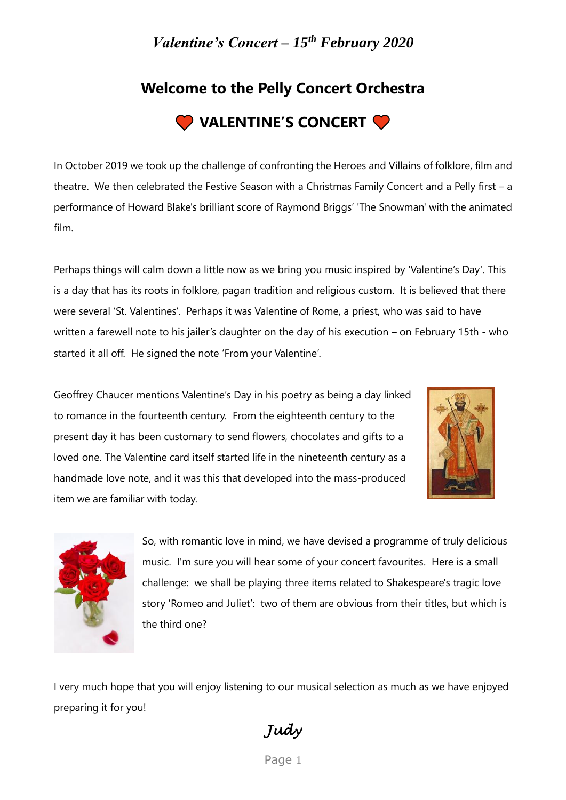# **Welcome to the Pelly Concert Orchestra**



In October 2019 we took up the challenge of confronting the Heroes and Villains of folklore, film and theatre. We then celebrated the Festive Season with a Christmas Family Concert and a Pelly first – a performance of Howard Blake's brilliant score of Raymond Briggs' 'The Snowman' with the animated film.

Perhaps things will calm down a little now as we bring you music inspired by 'Valentine's Day'. This is a day that has its roots in folklore, pagan tradition and religious custom. It is believed that there were several 'St. Valentines'. Perhaps it was Valentine of Rome, a priest, who was said to have written a farewell note to his jailer's daughter on the day of his execution – on February 15th - who started it all off. He signed the note 'From your Valentine'.

Geoffrey Chaucer mentions Valentine's Day in his poetry as being a day linked to romance in the fourteenth century. From the eighteenth century to the present day it has been customary to send flowers, chocolates and gifts to a loved one. The Valentine card itself started life in the nineteenth century as a handmade love note, and it was this that developed into the mass-produced item we are familiar with today.





So, with romantic love in mind, we have devised a programme of truly delicious music. I'm sure you will hear some of your concert favourites. Here is a small challenge: we shall be playing three items related to Shakespeare's tragic love story 'Romeo and Juliet': two of them are obvious from their titles, but which is the third one?

I very much hope that you will enjoy listening to our musical selection as much as we have enjoyed preparing it for you!

*Judy* 

Page 1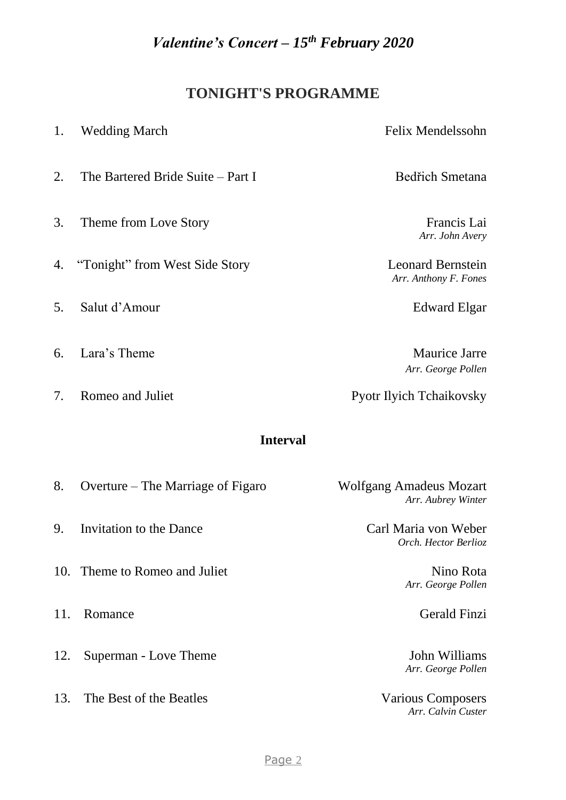## **TONIGHT'S PROGRAMME**

| 1.  | <b>Wedding March</b>              | Felix Mendelssohn                                    |
|-----|-----------------------------------|------------------------------------------------------|
| 2.  | The Bartered Bride Suite – Part I | <b>Bedřich Smetana</b>                               |
| 3.  | Theme from Love Story             | Francis Lai<br>Arr. John Avery                       |
| 4.  | "Tonight" from West Side Story    | <b>Leonard Bernstein</b><br>Arr. Anthony F. Fones    |
| 5.  | Salut d'Amour                     | Edward Elgar                                         |
| 6.  | Lara's Theme                      | <b>Maurice Jarre</b><br>Arr. George Pollen           |
| 7.  | Romeo and Juliet                  | <b>Pyotr Ilyich Tchaikovsky</b>                      |
|     | <b>Interval</b>                   |                                                      |
| 8.  | Overture – The Marriage of Figaro | <b>Wolfgang Amadeus Mozart</b><br>Arr. Aubrey Winter |
| 9.  | Invitation to the Dance           | Carl Maria von Weber<br>Orch. Hector Berlioz         |
|     | 10. Theme to Romeo and Juliet     | Nino Rota<br>Arr. George Pollen                      |
| 11. | Romance                           | <b>Gerald Finzi</b>                                  |
| 12. | Superman - Love Theme             | John Williams<br>Arr. George Pollen                  |

13. The Best of the Beatles Various Composers *Arr. Calvin Custer*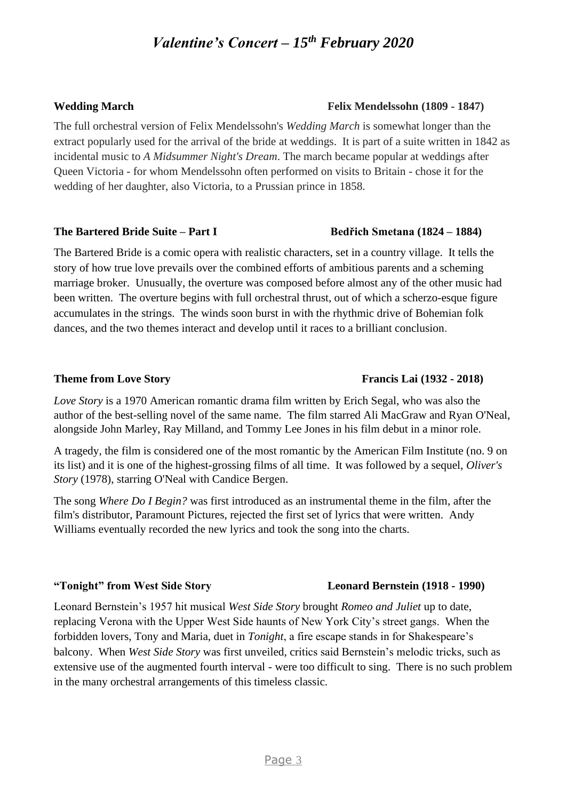The full orchestral version of Felix Mendelssohn's *Wedding March* is somewhat longer than the extract popularly used for the arrival of the bride at weddings. It is part of a suite written in 1842 as incidental music to *A Midsummer Night's Dream*. The march became popular at weddings after Queen Victoria - for whom Mendelssohn often performed on visits to Britain - chose it for the wedding of her daughter, also Victoria, to a Prussian prince in 1858.

#### **The Bartered Bride Suite – Part I Bedřich Smetana (1824 – 1884)**

The Bartered Bride is a comic opera with realistic characters, set in a country village. It tells the story of how true love prevails over the combined efforts of ambitious parents and a scheming marriage broker. Unusually, the overture was composed before almost any of the other music had been written. The overture begins with full orchestral thrust, out of which a scherzo-esque figure accumulates in the strings. The winds soon burst in with the rhythmic drive of Bohemian folk dances, and the two themes interact and develop until it races to a brilliant conclusion.

*Love Story* is a 1970 American romantic drama film written by Erich Segal, who was also the author of the best-selling novel of the same name. The film starred Ali MacGraw and Ryan O'Neal, alongside John Marley, Ray Milland, and Tommy Lee Jones in his film debut in a minor role.

A tragedy, the film is considered one of the most romantic by the American Film Institute (no. 9 on its list) and it is one of the highest-grossing films of all time. It was followed by a sequel, *Oliver's Story* (1978), starring O'Neal with Candice Bergen.

The song *Where Do I Begin?* was first introduced as an instrumental theme in the film, after the film's distributor, Paramount Pictures, rejected the first set of lyrics that were written. Andy Williams eventually recorded the new lyrics and took the song into the charts.

### **"Tonight" from West Side Story Leonard Bernstein (1918 - 1990)**

Leonard Bernstein's 1957 hit musical *West Side Story* brought *Romeo and Juliet* up to date, replacing Verona with the Upper West Side haunts of New York City's street gangs. When the forbidden lovers, Tony and Maria, duet in *Tonight*, a fire escape stands in for Shakespeare's balcony. When *West Side Story* was first unveiled, critics said Bernstein's melodic tricks, such as extensive use of the augmented fourth interval - were too difficult to sing. There is no such problem in the many orchestral arrangements of this timeless classic.

#### **Theme from Love Story Francis Lai (1932 - 2018)**

#### **Wedding March Felix Mendelssohn (1809 - 1847)**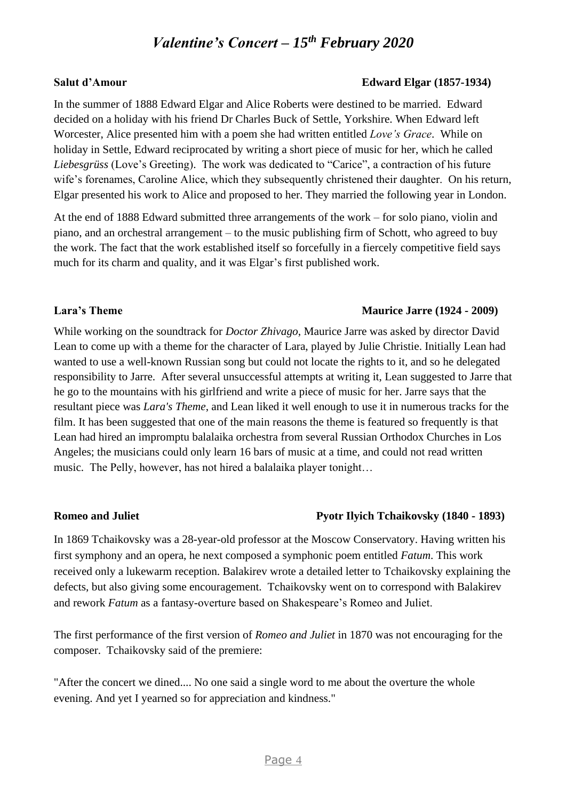#### **Salut d'Amour Edward Elgar (1857-1934)**

In the summer of 1888 Edward Elgar and Alice Roberts were destined to be married. Edward decided on a holiday with his friend Dr Charles Buck of Settle, Yorkshire. When Edward left Worcester, Alice presented him with a poem she had written entitled *Love's Grace*. While on holiday in Settle, Edward reciprocated by writing a short piece of music for her, which he called *Liebesgrüss* (Love's Greeting). The work was dedicated to "Carice", a contraction of his future wife's forenames, Caroline Alice, which they subsequently christened their daughter. On his return, Elgar presented his work to Alice and proposed to her. They married the following year in London.

At the end of 1888 Edward submitted three arrangements of the work – for solo piano, violin and piano, and an orchestral arrangement – to the music publishing firm of Schott, who agreed to buy the work. The fact that the work established itself so forcefully in a fiercely competitive field says much for its charm and quality, and it was Elgar's first published work.

#### **Lara's Theme Maurice Jarre (1924 - 2009)**

While working on the soundtrack for *Doctor Zhivago*, Maurice Jarre was asked by director David Lean to come up with a theme for the character of Lara, played by Julie Christie. Initially Lean had wanted to use a well-known Russian song but could not locate the rights to it, and so he delegated responsibility to Jarre. After several unsuccessful attempts at writing it, Lean suggested to Jarre that he go to the mountains with his girlfriend and write a piece of music for her. Jarre says that the resultant piece was *Lara's Theme*, and Lean liked it well enough to use it in numerous tracks for the film. It has been suggested that one of the main reasons the theme is featured so frequently is that Lean had hired an impromptu balalaika orchestra from several Russian Orthodox Churches in Los Angeles; the musicians could only learn 16 bars of music at a time, and could not read written music. The Pelly, however, has not hired a balalaika player tonight…

#### **Romeo and Juliet Pyotr Ilyich Tchaikovsky (1840 - 1893)**

In 1869 Tchaikovsky was a 28-year-old professor at the Moscow Conservatory. Having written his first symphony and an opera, he next composed a symphonic poem entitled *Fatum*. This work received only a lukewarm reception. Balakirev wrote a detailed letter to Tchaikovsky explaining the defects, but also giving some encouragement. Tchaikovsky went on to correspond with Balakirev and rework *Fatum* as a fantasy-overture based on Shakespeare's Romeo and Juliet.

The first performance of the first version of *Romeo and Juliet* in 1870 was not encouraging for the composer. Tchaikovsky said of the premiere:

"After the concert we dined.... No one said a single word to me about the overture the whole evening. And yet I yearned so for appreciation and kindness."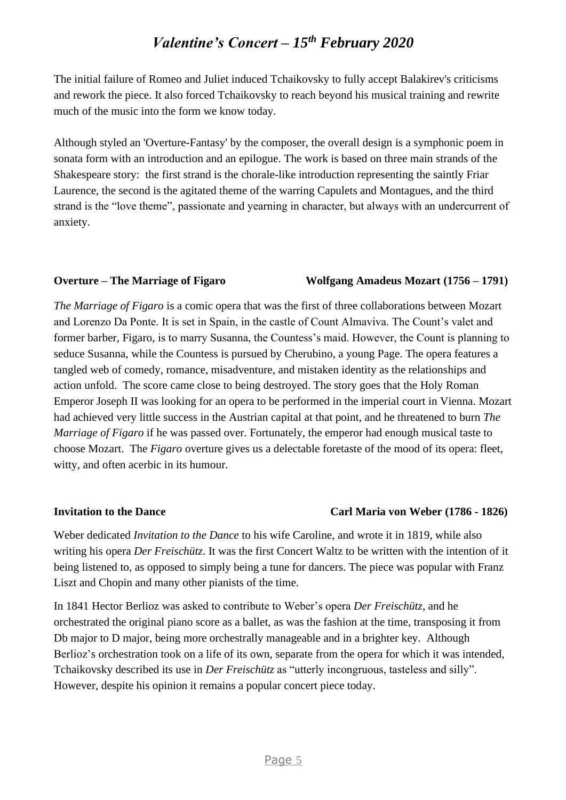The initial failure of Romeo and Juliet induced Tchaikovsky to fully accept Balakirev's criticisms and rework the piece. It also forced Tchaikovsky to reach beyond his musical training and rewrite much of the music into the form we know today.

Although styled an 'Overture-Fantasy' by the composer, the overall design is a symphonic poem in sonata form with an introduction and an epilogue. The work is based on three main strands of the Shakespeare story: the first strand is the chorale-like introduction representing the saintly Friar Laurence, the second is the agitated theme of the warring Capulets and Montagues, and the third strand is the "love theme", passionate and yearning in character, but always with an undercurrent of anxiety.

#### **Overture – The Marriage of Figaro Wolfgang Amadeus Mozart (1756 – 1791)**

*The Marriage of Figaro* is a comic opera that was the first of three collaborations between Mozart and Lorenzo Da Ponte. It is set in Spain, in the castle of Count Almaviva. The Count's valet and former barber, Figaro, is to marry Susanna, the Countess's maid. However, the Count is planning to seduce Susanna, while the Countess is pursued by Cherubino, a young Page. The opera features a tangled web of comedy, romance, misadventure, and mistaken identity as the relationships and action unfold. The score came close to being destroyed. The story goes that the Holy Roman Emperor Joseph II was looking for an opera to be performed in the imperial court in Vienna. Mozart had achieved very little success in the Austrian capital at that point, and he threatened to burn *The Marriage of Figaro* if he was passed over. Fortunately, the emperor had enough musical taste to choose Mozart. The *Figaro* overture gives us a delectable foretaste of the mood of its opera: fleet, witty, and often acerbic in its humour.

#### **Invitation to the Dance Carl Maria von Weber (1786 - 1826)**

Weber dedicated *Invitation to the Dance* to his wife Caroline, and wrote it in 1819, while also writing his opera *Der Freischütz*. It was the first Concert Waltz to be written with the intention of it being listened to, as opposed to simply being a tune for dancers. The piece was popular with Franz Liszt and Chopin and many other pianists of the time.

In 1841 Hector Berlioz was asked to contribute to Weber's opera *Der Freischütz*, and he orchestrated the original piano score as a ballet, as was the fashion at the time, transposing it from Db major to D major, being more orchestrally manageable and in a brighter key. Although Berlioz's orchestration took on a life of its own, separate from the opera for which it was intended, Tchaikovsky described its use in *Der Freischütz* as "utterly incongruous, tasteless and silly". However, despite his opinion it remains a popular concert piece today.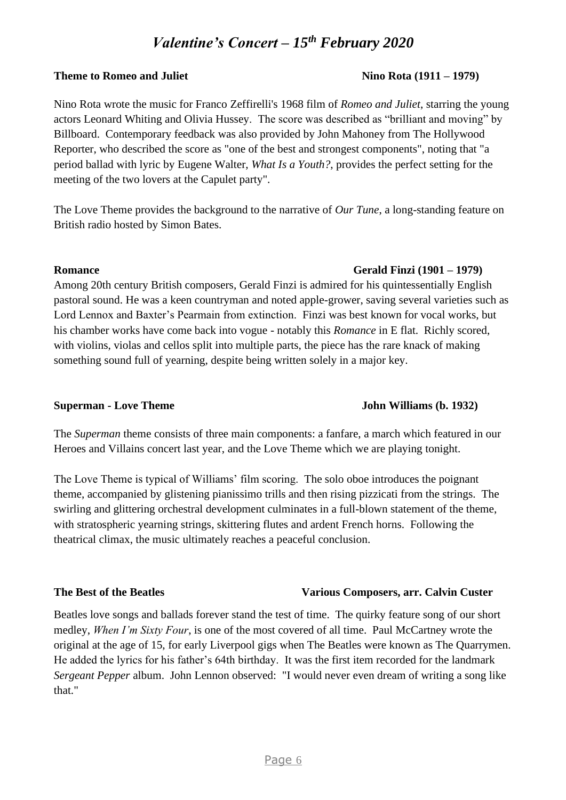## **Theme to Romeo and Juliet Nino Rota (1911 – 1979)**

Nino Rota wrote the music for Franco Zeffirelli's 1968 film of *Romeo and Juliet*, starring the young actors Leonard Whiting and Olivia Hussey. The score was described as "brilliant and moving" by Billboard. Contemporary feedback was also provided by John Mahoney from The Hollywood Reporter, who described the score as "one of the best and strongest components", noting that "a period ballad with lyric by Eugene Walter, *What Is a Youth?*, provides the perfect setting for the meeting of the two lovers at the Capulet party".

The Love Theme provides the background to the narrative of *Our Tune*, a long-standing feature on British radio hosted by Simon Bates.

Among 20th century British composers, Gerald Finzi is admired for his quintessentially English pastoral sound. He was a keen countryman and noted apple-grower, saving several varieties such as Lord Lennox and Baxter's Pearmain from extinction. Finzi was best known for vocal works, but his chamber works have come back into vogue - notably this *Romance* in E flat. Richly scored, with violins, violas and cellos split into multiple parts, the piece has the rare knack of making something sound full of yearning, despite being written solely in a major key.

#### **Superman - Love Theme John Williams (b. 1932)**

#### The *Superman* theme consists of three main components: a fanfare, a march which featured in our Heroes and Villains concert last year, and the Love Theme which we are playing tonight.

The Love Theme is typical of Williams' film scoring. The solo oboe introduces the poignant theme, accompanied by glistening pianissimo trills and then rising pizzicati from the strings. The swirling and glittering orchestral development culminates in a full-blown statement of the theme, with stratospheric yearning strings, skittering flutes and ardent French horns. Following the theatrical climax, the music ultimately reaches a peaceful conclusion.

#### **The Best of the Beatles Various Composers, arr. Calvin Custer**

Beatles love songs and ballads forever stand the test of time. The quirky feature song of our short medley, *When I'm Sixty Four*, is one of the most covered of all time. Paul McCartney wrote the original at the age of 15, for early Liverpool gigs when The Beatles were known as The Quarrymen. He added the lyrics for his father's 64th birthday. It was the first item recorded for the landmark *Sergeant Pepper* album. John Lennon observed: "I would never even dream of writing a song like that."

### **Romance Gerald Finzi (1901 – 1979)**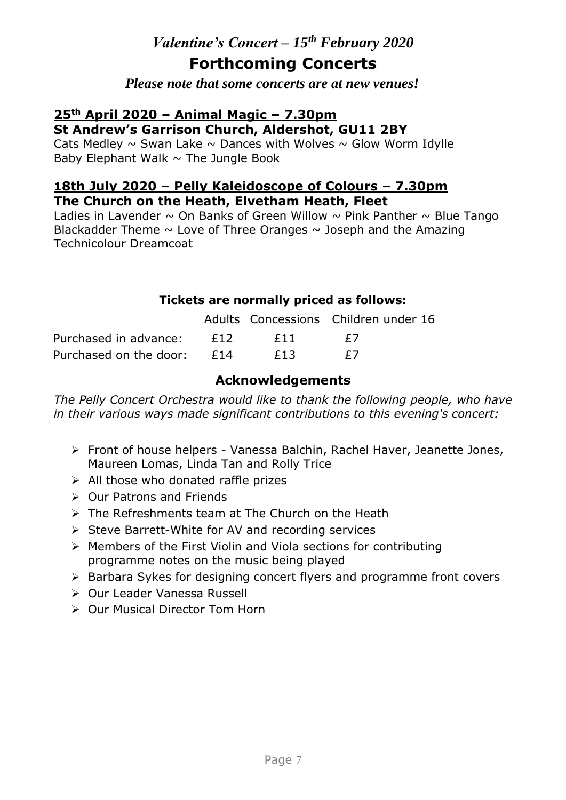## **Forthcoming Concerts**

*Please note that some concerts are at new venues!*

#### **25th April 2020 – Animal Magic – 7.30pm St Andrew's Garrison Church, Aldershot, GU11 2BY**

Cats Medley  $\sim$  Swan Lake  $\sim$  Dances with Wolves  $\sim$  Glow Worm Idylle Baby Elephant Walk  $\sim$  The Jungle Book

#### **18th July 2020 – Pelly Kaleidoscope of Colours – 7.30pm The Church on the Heath, Elvetham Heath, Fleet**

Ladies in Lavender  $\sim$  On Banks of Green Willow  $\sim$  Pink Panther  $\sim$  Blue Tango Blackadder Theme  $\sim$  Love of Three Oranges  $\sim$  Joseph and the Amazing Technicolour Dreamcoat

#### **Tickets are normally priced as follows:**

|                              |        | Adults Concessions Children under 16 |  |
|------------------------------|--------|--------------------------------------|--|
| Purchased in advance: £12    | $ f11$ | $+$ /                                |  |
| Purchased on the door: $£14$ | F13    | $+$ /                                |  |

### **Acknowledgements**

The Pelly Concert Orchestra would like to thank the following people, who have *in their various ways made significant contributions to this evening's concert:*

- ➢ Front of house helpers Vanessa Balchin, Rachel Haver, Jeanette Jones, Maureen Lomas, Linda Tan and Rolly Trice
- ➢ All those who donated raffle prizes
- ➢ Our Patrons and Friends
- ➢ The Refreshments team at The Church on the Heath
- ➢ Steve Barrett-White for AV and recording services
- ➢ Members of the First Violin and Viola sections for contributing programme notes on the music being played
- ➢ Barbara Sykes for designing concert flyers and programme front covers
- ➢ Our Leader Vanessa Russell
- ➢ Our Musical Director Tom Horn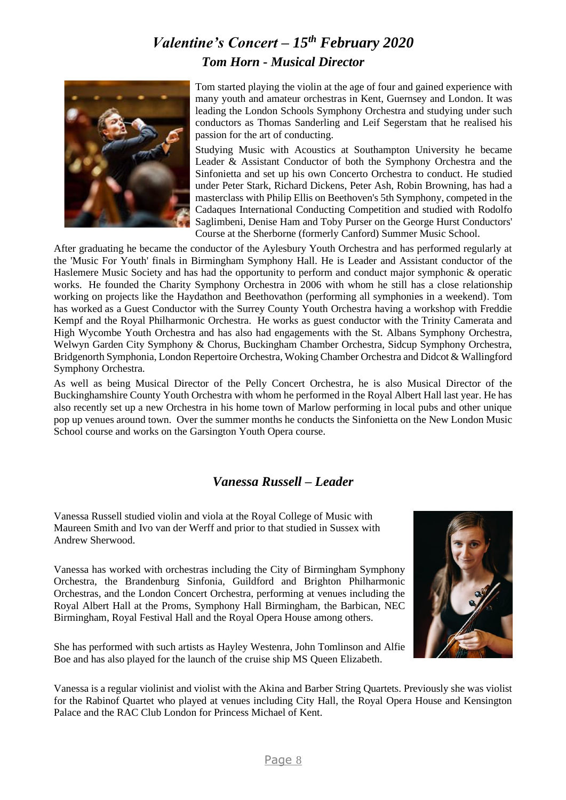## *Valentine's Concert – 15th February 2020 Tom Horn - Musical Director*



Tom started playing the violin at the age of four and gained experience with many youth and amateur orchestras in Kent, Guernsey and London. It was leading the London Schools Symphony Orchestra and studying under such conductors as Thomas Sanderling and Leif Segerstam that he realised his passion for the art of conducting.

Studying Music with Acoustics at Southampton University he became Leader & Assistant Conductor of both the Symphony Orchestra and the Sinfonietta and set up his own Concerto Orchestra to conduct. He studied under Peter Stark, Richard Dickens, Peter Ash, Robin Browning, has had a masterclass with Philip Ellis on Beethoven's 5th Symphony, competed in the Cadaques International Conducting Competition and studied with Rodolfo Saglimbeni, Denise Ham and Toby Purser on the George Hurst Conductors' Course at the Sherborne (formerly Canford) Summer Music School.

After graduating he became the conductor of the Aylesbury Youth Orchestra and has performed regularly at the 'Music For Youth' finals in Birmingham Symphony Hall. He is Leader and Assistant conductor of the Haslemere Music Society and has had the opportunity to perform and conduct major symphonic & operatic works. He founded the Charity Symphony Orchestra in 2006 with whom he still has a close relationship working on projects like the Haydathon and Beethovathon (performing all symphonies in a weekend). Tom has worked as a Guest Conductor with the Surrey County Youth Orchestra having a workshop with Freddie Kempf and the Royal Philharmonic Orchestra. He works as guest conductor with the Trinity Camerata and High Wycombe Youth Orchestra and has also had engagements with the St. Albans Symphony Orchestra, Welwyn Garden City Symphony & Chorus, Buckingham Chamber Orchestra, Sidcup Symphony Orchestra, Bridgenorth Symphonia, London Repertoire Orchestra, Woking Chamber Orchestra and Didcot & Wallingford Symphony Orchestra.

As well as being Musical Director of the Pelly Concert Orchestra, he is also Musical Director of the Buckinghamshire County Youth Orchestra with whom he performed in the Royal Albert Hall last year. He has also recently set up a new Orchestra in his home town of Marlow performing in local pubs and other unique pop up venues around town. Over the summer months he conducts the Sinfonietta on the New London Music School course and works on the Garsington Youth Opera course.

### *Vanessa Russell – Leader*

Vanessa Russell studied violin and viola at the Royal College of Music with Maureen Smith and Ivo van der Werff and prior to that studied in Sussex with Andrew Sherwood.

Vanessa has worked with orchestras including the City of Birmingham Symphony Orchestra, the Brandenburg Sinfonia, Guildford and Brighton Philharmonic Orchestras, and the London Concert Orchestra, performing at venues including the Royal Albert Hall at the Proms, Symphony Hall Birmingham, the Barbican, NEC Birmingham, Royal Festival Hall and the Royal Opera House among others.

She has performed with such artists as Hayley Westenra, John Tomlinson and Alfie Boe and has also played for the launch of the cruise ship MS Queen Elizabeth.



Vanessa is a regular violinist and violist with the Akina and Barber String Quartets. Previously she was violist for the Rabinof Quartet who played at venues including City Hall, the Royal Opera House and Kensington Palace and the RAC Club London for Princess Michael of Kent.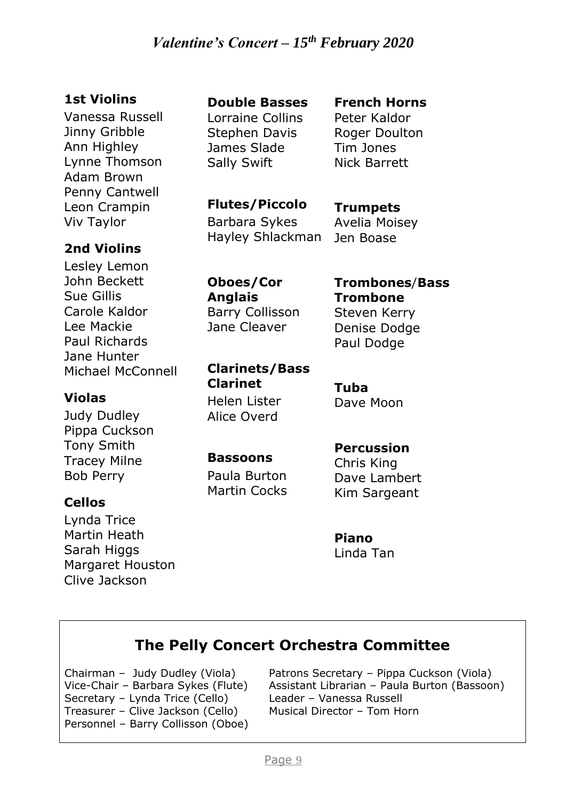### **1st Violins**

Vanessa Russell Jinny Gribble Ann Highley Lynne Thomson Adam Brown Penny Cantwell Leon Crampin Viv Taylor

### **2nd Violins**

Lesley Lemon John Beckett Sue Gillis Carole Kaldor Lee Mackie Paul Richards Jane Hunter Michael McConnell

### **Violas**

Judy Dudley Pippa Cuckson Tony Smith Tracey Milne Bob Perry

### **Cellos**

Lynda Trice Martin Heath Sarah Higgs Margaret Houston Clive Jackson

### **Double Basses**

Lorraine Collins Stephen Davis James Slade Sally Swift

#### **French Horns** Peter Kaldor

Roger Doulton Tim Jones Nick Barrett

**Flutes/Piccolo** Barbara Sykes Hayley Shlackman

**Trumpets** Avelia Moisey Jen Boase

**Oboes/Cor Anglais** Barry Collisson Jane Cleaver

**Trombones**/**Bass Trombone** Steven Kerry Denise Dodge Paul Dodge

**Clarinets/Bass Clarinet** Helen Lister

**Tuba** Dave Moon

### **Bassoons**

Alice Overd

Paula Burton Martin Cocks

### **Percussion**

Chris King Dave Lambert Kim Sargeant

**Piano** Linda Tan

## **The Pelly Concert Orchestra Committee**

Chairman – Judy Dudley (Viola) Vice-Chair – Barbara Sykes (Flute) Secretary – Lynda Trice (Cello) Treasurer – Clive Jackson (Cello) Personnel – Barry Collisson (Oboe)

Patrons Secretary – Pippa Cuckson (Viola) Assistant Librarian – Paula Burton (Bassoon) Leader – Vanessa Russell Musical Director – Tom Horn